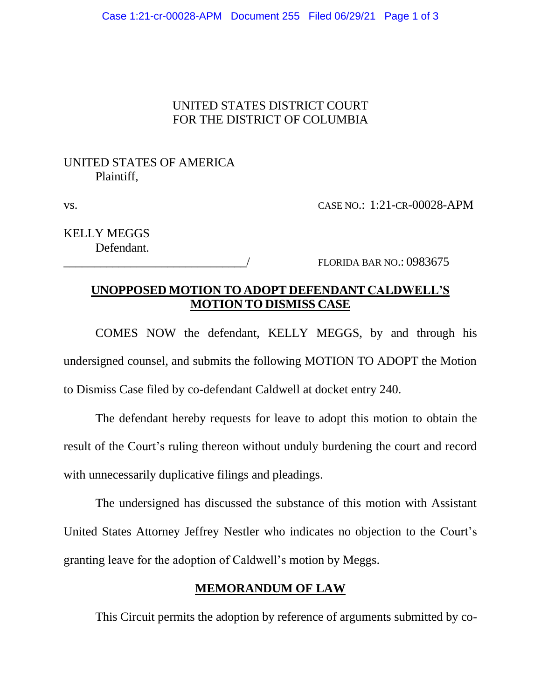### UNITED STATES DISTRICT COURT FOR THE DISTRICT OF COLUMBIA

# UNITED STATES OF AMERICA Plaintiff,

vs. CASE NO.: 1:21-CR-00028-APM

KELLY MEGGS Defendant.

FLORIDA BAR NO.: 0983675

# **UNOPPOSED MOTION TO ADOPT DEFENDANT CALDWELL'S MOTION TO DISMISS CASE**

COMES NOW the defendant, KELLY MEGGS, by and through his undersigned counsel, and submits the following MOTION TO ADOPT the Motion to Dismiss Case filed by co-defendant Caldwell at docket entry 240.

The defendant hereby requests for leave to adopt this motion to obtain the result of the Court's ruling thereon without unduly burdening the court and record with unnecessarily duplicative filings and pleadings.

The undersigned has discussed the substance of this motion with Assistant United States Attorney Jeffrey Nestler who indicates no objection to the Court's granting leave for the adoption of Caldwell's motion by Meggs.

# **MEMORANDUM OF LAW**

This Circuit permits the adoption by reference of arguments submitted by co-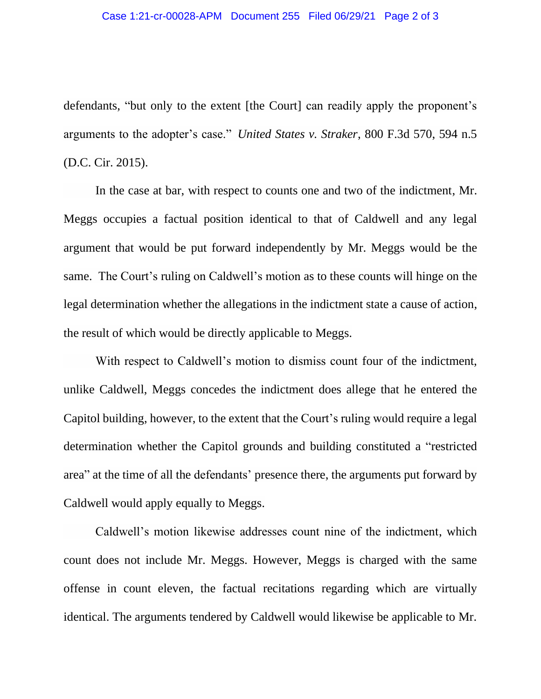defendants, "but only to the extent [the Court] can readily apply the proponent's arguments to the adopter's case." *United States v. Straker*, 800 F.3d 570, 594 n.5 (D.C. Cir. 2015).

In the case at bar, with respect to counts one and two of the indictment, Mr. Meggs occupies a factual position identical to that of Caldwell and any legal argument that would be put forward independently by Mr. Meggs would be the same. The Court's ruling on Caldwell's motion as to these counts will hinge on the legal determination whether the allegations in the indictment state a cause of action, the result of which would be directly applicable to Meggs.

With respect to Caldwell's motion to dismiss count four of the indictment, unlike Caldwell, Meggs concedes the indictment does allege that he entered the Capitol building, however, to the extent that the Court's ruling would require a legal determination whether the Capitol grounds and building constituted a "restricted area" at the time of all the defendants' presence there, the arguments put forward by Caldwell would apply equally to Meggs.

Caldwell's motion likewise addresses count nine of the indictment, which count does not include Mr. Meggs. However, Meggs is charged with the same offense in count eleven, the factual recitations regarding which are virtually identical. The arguments tendered by Caldwell would likewise be applicable to Mr.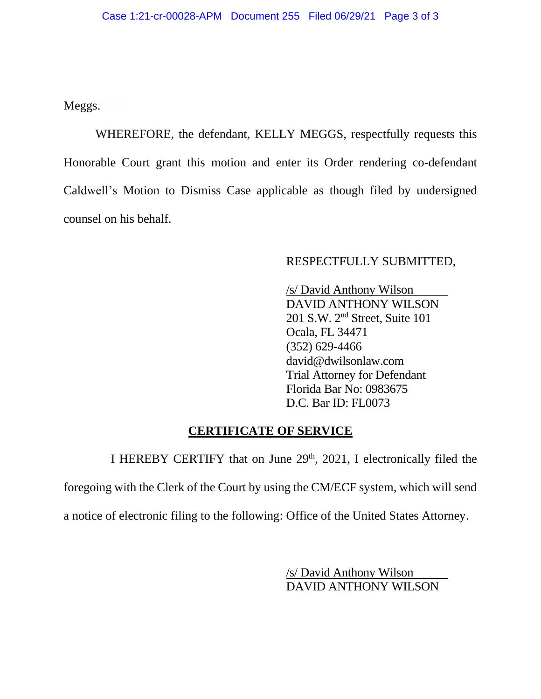Meggs.

WHEREFORE, the defendant, KELLY MEGGS, respectfully requests this Honorable Court grant this motion and enter its Order rendering co-defendant Caldwell's Motion to Dismiss Case applicable as though filed by undersigned counsel on his behalf.

### RESPECTFULLY SUBMITTED,

 /s/ David Anthony Wilson DAVID ANTHONY WILSON 201 S.W. 2nd Street, Suite 101 Ocala, FL 34471 (352) 629-4466 david@dwilsonlaw.com Trial Attorney for Defendant Florida Bar No: 0983675 D.C. Bar ID: FL0073

#### **CERTIFICATE OF SERVICE**

I HEREBY CERTIFY that on June  $29<sup>th</sup>$ ,  $2021$ , I electronically filed the foregoing with the Clerk of the Court by using the CM/ECF system, which will send a notice of electronic filing to the following: Office of the United States Attorney.

> /s/ David Anthony Wilson DAVID ANTHONY WILSON